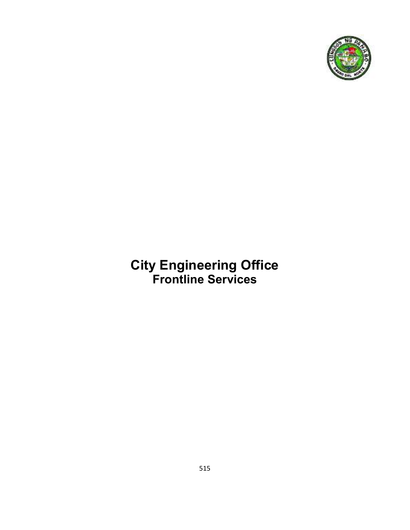

## **City Engineering Office Frontline Services**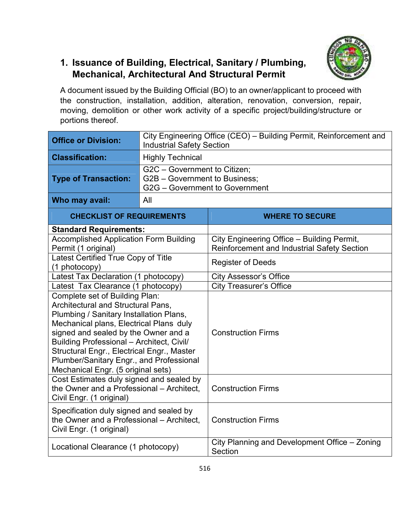

## **1. Issuance of Building, Electrical, Sanitary / Plumbing, Mechanical, Architectural And Structural Permit**

A document issued by the Building Official (BO) to an owner/applicant to proceed with the construction, installation, addition, alteration, renovation, conversion, repair, moving, demolition or other work activity of a specific project/building/structure or portions thereof.

| <b>Office or Division:</b>                                                                                                                                                                                                                                                                                                                                                             | City Engineering Office (CEO) - Building Permit, Reinforcement and<br><b>Industrial Safety Section</b> |                                                                                           |  |
|----------------------------------------------------------------------------------------------------------------------------------------------------------------------------------------------------------------------------------------------------------------------------------------------------------------------------------------------------------------------------------------|--------------------------------------------------------------------------------------------------------|-------------------------------------------------------------------------------------------|--|
| <b>Classification:</b>                                                                                                                                                                                                                                                                                                                                                                 | <b>Highly Technical</b>                                                                                |                                                                                           |  |
| <b>Type of Transaction:</b>                                                                                                                                                                                                                                                                                                                                                            | G2C - Government to Citizen;<br>G2B - Government to Business;<br>G2G - Government to Government        |                                                                                           |  |
| Who may avail:                                                                                                                                                                                                                                                                                                                                                                         | All                                                                                                    |                                                                                           |  |
| <b>CHECKLIST OF REQUIREMENTS</b>                                                                                                                                                                                                                                                                                                                                                       |                                                                                                        | <b>WHERE TO SECURE</b>                                                                    |  |
| <b>Standard Requirements:</b>                                                                                                                                                                                                                                                                                                                                                          |                                                                                                        |                                                                                           |  |
| <b>Accomplished Application Form Building</b><br>Permit (1 original)                                                                                                                                                                                                                                                                                                                   |                                                                                                        | City Engineering Office - Building Permit,<br>Reinforcement and Industrial Safety Section |  |
| Latest Certified True Copy of Title<br>(1 photocopy)                                                                                                                                                                                                                                                                                                                                   |                                                                                                        | <b>Register of Deeds</b>                                                                  |  |
| Latest Tax Declaration (1 photocopy)                                                                                                                                                                                                                                                                                                                                                   |                                                                                                        | <b>City Assessor's Office</b>                                                             |  |
| Latest Tax Clearance (1 photocopy)                                                                                                                                                                                                                                                                                                                                                     |                                                                                                        | <b>City Treasurer's Office</b>                                                            |  |
| Complete set of Building Plan:<br><b>Architectural and Structural Pans,</b><br>Plumbing / Sanitary Installation Plans,<br>Mechanical plans, Electrical Plans duly<br>signed and sealed by the Owner and a<br>Building Professional - Architect, Civil/<br>Structural Engr., Electrical Engr., Master<br>Plumber/Sanitary Engr., and Professional<br>Mechanical Engr. (5 original sets) |                                                                                                        | <b>Construction Firms</b>                                                                 |  |
| Cost Estimates duly signed and sealed by<br>the Owner and a Professional - Architect,<br>Civil Engr. (1 original)                                                                                                                                                                                                                                                                      |                                                                                                        | <b>Construction Firms</b>                                                                 |  |
| Specification duly signed and sealed by<br>the Owner and a Professional - Architect,<br>Civil Engr. (1 original)                                                                                                                                                                                                                                                                       |                                                                                                        | <b>Construction Firms</b>                                                                 |  |
| Locational Clearance (1 photocopy)                                                                                                                                                                                                                                                                                                                                                     |                                                                                                        | City Planning and Development Office – Zoning<br>Section                                  |  |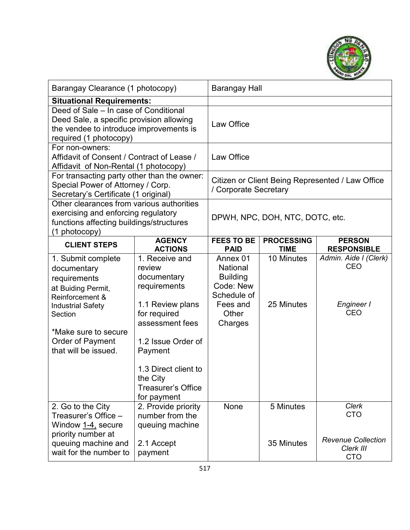

| Barangay Clearance (1 photocopy)                                                                                                                                                                      |                                                                                                                                                                                                                                 | Barangay Hall                                                                                              |                                                                           |                                                                                    |  |
|-------------------------------------------------------------------------------------------------------------------------------------------------------------------------------------------------------|---------------------------------------------------------------------------------------------------------------------------------------------------------------------------------------------------------------------------------|------------------------------------------------------------------------------------------------------------|---------------------------------------------------------------------------|------------------------------------------------------------------------------------|--|
| <b>Situational Requirements:</b>                                                                                                                                                                      |                                                                                                                                                                                                                                 |                                                                                                            |                                                                           |                                                                                    |  |
| Deed of Sale – In case of Conditional<br>Deed Sale, a specific provision allowing<br>the vendee to introduce improvements is<br>required (1 photocopy)                                                |                                                                                                                                                                                                                                 | Law Office                                                                                                 |                                                                           |                                                                                    |  |
| For non-owners:<br>Affidavit of Consent / Contract of Lease /<br>Affidavit of Non-Rental (1 photocopy)                                                                                                |                                                                                                                                                                                                                                 | Law Office                                                                                                 |                                                                           |                                                                                    |  |
| For transacting party other than the owner:<br>Special Power of Attorney / Corp.<br>Secretary's Certificate (1 original)                                                                              |                                                                                                                                                                                                                                 |                                                                                                            | Citizen or Client Being Represented / Law Office<br>/ Corporate Secretary |                                                                                    |  |
| Other clearances from various authorities<br>exercising and enforcing regulatory<br>functions affecting buildings/structures<br>(1 photocopy)                                                         |                                                                                                                                                                                                                                 |                                                                                                            | DPWH, NPC, DOH, NTC, DOTC, etc.                                           |                                                                                    |  |
| <b>CLIENT STEPS</b>                                                                                                                                                                                   | <b>AGENCY</b><br><b>ACTIONS</b>                                                                                                                                                                                                 | <b>FEES TO BE</b><br><b>PAID</b>                                                                           | <b>PROCESSING</b><br><b>TIME</b>                                          | <b>PERSON</b><br><b>RESPONSIBLE</b>                                                |  |
| 1. Submit complete<br>documentary<br>requirements<br>at Buiding Permit,<br>Reinforcement &<br><b>Industrial Safety</b><br>Section<br>*Make sure to secure<br>Order of Payment<br>that will be issued. | 1. Receive and<br>review<br>documentary<br>requirements<br>1.1 Review plans<br>for required<br>assessment fees<br>1.2 Issue Order of<br>Payment<br>1.3 Direct client to<br>the City<br><b>Treasurer's Office</b><br>for payment | Annex 01<br><b>National</b><br><b>Building</b><br>Code: New<br>Schedule of<br>Fees and<br>Other<br>Charges | 10 Minutes<br>25 Minutes                                                  | Admin. Aide I (Clerk)<br>CEO<br>Engineer I<br><b>CEO</b>                           |  |
| 2. Go to the City<br>Treasurer's Office –<br>Window 1-4, secure<br>priority number at<br>queuing machine and<br>wait for the number to                                                                | 2. Provide priority<br>number from the<br>queuing machine<br>2.1 Accept<br>payment                                                                                                                                              | None                                                                                                       | 5 Minutes<br>35 Minutes                                                   | <b>Clerk</b><br><b>CTO</b><br><b>Revenue Collection</b><br>Clerk III<br><b>CTO</b> |  |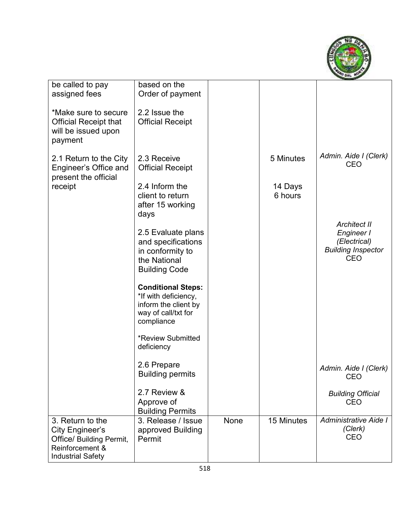

| be called to pay             | based on the              |      |            |                           |
|------------------------------|---------------------------|------|------------|---------------------------|
| assigned fees                | Order of payment          |      |            |                           |
|                              |                           |      |            |                           |
| *Make sure to secure         | 2.2 Issue the             |      |            |                           |
|                              |                           |      |            |                           |
| <b>Official Receipt that</b> | <b>Official Receipt</b>   |      |            |                           |
| will be issued upon          |                           |      |            |                           |
| payment                      |                           |      |            |                           |
|                              |                           |      |            |                           |
| 2.1 Return to the City       | 2.3 Receive               |      | 5 Minutes  | Admin. Aide I (Clerk)     |
| Engineer's Office and        | <b>Official Receipt</b>   |      |            | <b>CEO</b>                |
| present the official         |                           |      |            |                           |
| receipt                      | 2.4 Inform the            |      | 14 Days    |                           |
|                              | client to return          |      | 6 hours    |                           |
|                              |                           |      |            |                           |
|                              | after 15 working          |      |            |                           |
|                              | days                      |      |            |                           |
|                              |                           |      |            | <b>Architect II</b>       |
|                              | 2.5 Evaluate plans        |      |            | Engineer I                |
|                              | and specifications        |      |            | (Electrical)              |
|                              | in conformity to          |      |            | <b>Building Inspector</b> |
|                              | the National              |      |            | <b>CEO</b>                |
|                              | <b>Building Code</b>      |      |            |                           |
|                              |                           |      |            |                           |
|                              | <b>Conditional Steps:</b> |      |            |                           |
|                              | *If with deficiency,      |      |            |                           |
|                              | inform the client by      |      |            |                           |
|                              | way of call/txt for       |      |            |                           |
|                              | compliance                |      |            |                           |
|                              |                           |      |            |                           |
|                              | <b>*Review Submitted</b>  |      |            |                           |
|                              | deficiency                |      |            |                           |
|                              |                           |      |            |                           |
|                              | 2.6 Prepare               |      |            | Admin. Aide I (Clerk)     |
|                              | <b>Building permits</b>   |      |            | <b>CEO</b>                |
|                              |                           |      |            |                           |
|                              | 2.7 Review &              |      |            | <b>Building Official</b>  |
|                              | Approve of                |      |            | <b>CEO</b>                |
|                              | <b>Building Permits</b>   |      |            |                           |
| 3. Return to the             | 3. Release / Issue        | None | 15 Minutes | Administrative Aide I     |
| City Engineer's              | approved Building         |      |            | (Clerk)                   |
| Office/ Building Permit,     | Permit                    |      |            | <b>CEO</b>                |
| Reinforcement &              |                           |      |            |                           |
| <b>Industrial Safety</b>     |                           |      |            |                           |
|                              |                           |      |            |                           |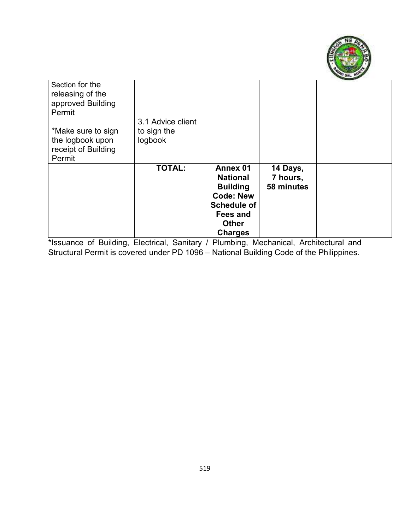

| Section for the<br>releasing of the<br>approved Building<br>Permit |                   |                    |            |  |
|--------------------------------------------------------------------|-------------------|--------------------|------------|--|
|                                                                    | 3.1 Advice client |                    |            |  |
| *Make sure to sign                                                 | to sign the       |                    |            |  |
| the logbook upon                                                   | logbook           |                    |            |  |
| receipt of Building                                                |                   |                    |            |  |
| Permit                                                             |                   |                    |            |  |
|                                                                    | <b>TOTAL:</b>     | Annex 01           | 14 Days,   |  |
|                                                                    |                   | <b>National</b>    | 7 hours,   |  |
|                                                                    |                   | <b>Building</b>    | 58 minutes |  |
|                                                                    |                   | <b>Code: New</b>   |            |  |
|                                                                    |                   | <b>Schedule of</b> |            |  |
|                                                                    |                   | <b>Fees and</b>    |            |  |
|                                                                    |                   | <b>Other</b>       |            |  |
|                                                                    |                   | <b>Charges</b>     |            |  |

\*Issuance of Building, Electrical, Sanitary / Plumbing, Mechanical, Architectural and Structural Permit is covered under PD 1096 – National Building Code of the Philippines.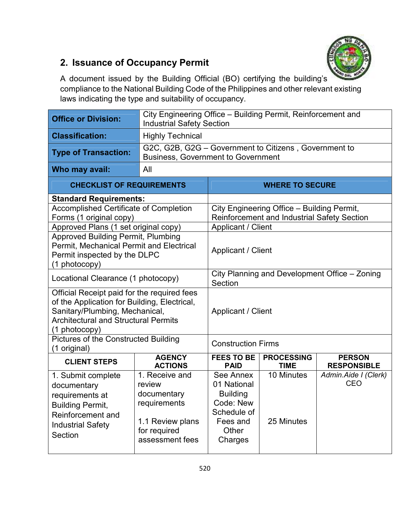

## **2. Issuance of Occupancy Permit**

A document issued by the Building Official (BO) certifying the building's compliance to the National Building Code of the Philippines and other relevant existing laws indicating the type and suitability of occupancy.

| <b>Office or Division:</b>                                                                                                                                                                    | City Engineering Office - Building Permit, Reinforcement and<br><b>Industrial Safety Section</b>               |                                                                                                         |                                                                                                  |                                     |  |
|-----------------------------------------------------------------------------------------------------------------------------------------------------------------------------------------------|----------------------------------------------------------------------------------------------------------------|---------------------------------------------------------------------------------------------------------|--------------------------------------------------------------------------------------------------|-------------------------------------|--|
| <b>Classification:</b>                                                                                                                                                                        | <b>Highly Technical</b>                                                                                        |                                                                                                         |                                                                                                  |                                     |  |
| <b>Type of Transaction:</b>                                                                                                                                                                   |                                                                                                                | G2C, G2B, G2G - Government to Citizens, Government to<br><b>Business, Government to Government</b>      |                                                                                                  |                                     |  |
| Who may avail:                                                                                                                                                                                | All                                                                                                            |                                                                                                         |                                                                                                  |                                     |  |
| <b>CHECKLIST OF REQUIREMENTS</b>                                                                                                                                                              |                                                                                                                | <b>WHERE TO SECURE</b>                                                                                  |                                                                                                  |                                     |  |
| <b>Standard Requirements:</b>                                                                                                                                                                 |                                                                                                                |                                                                                                         |                                                                                                  |                                     |  |
| Accomplished Certificate of Completion<br>Forms (1 original copy)                                                                                                                             |                                                                                                                |                                                                                                         | City Engineering Office - Building Permit,<br><b>Reinforcement and Industrial Safety Section</b> |                                     |  |
| Approved Plans (1 set original copy)                                                                                                                                                          |                                                                                                                | Applicant / Client                                                                                      |                                                                                                  |                                     |  |
| <b>Approved Building Permit, Plumbing</b><br>Permit, Mechanical Permit and Electrical<br>Permit inspected by the DLPC<br>(1 photocopy)                                                        |                                                                                                                | Applicant / Client                                                                                      |                                                                                                  |                                     |  |
| Locational Clearance (1 photocopy)                                                                                                                                                            |                                                                                                                | City Planning and Development Office - Zoning<br>Section                                                |                                                                                                  |                                     |  |
| Official Receipt paid for the required fees<br>of the Application for Building, Electrical,<br>Sanitary/Plumbing, Mechanical,<br><b>Architectural and Structural Permits</b><br>(1 photocopy) |                                                                                                                | Applicant / Client                                                                                      |                                                                                                  |                                     |  |
| Pictures of the Constructed Building<br>(1 original)                                                                                                                                          |                                                                                                                | <b>Construction Firms</b>                                                                               |                                                                                                  |                                     |  |
| <b>CLIENT STEPS</b>                                                                                                                                                                           | <b>AGENCY</b><br><b>ACTIONS</b>                                                                                | <b>FEES TO BE</b><br><b>PAID</b>                                                                        | <b>PROCESSING</b><br><b>TIME</b>                                                                 | <b>PERSON</b><br><b>RESPONSIBLE</b> |  |
| 1. Submit complete<br>documentary<br>requirements at<br><b>Building Permit,</b><br>Reinforcement and<br><b>Industrial Safety</b><br>Section                                                   | 1. Receive and<br>review<br>documentary<br>requirements<br>1.1 Review plans<br>for required<br>assessment fees | See Annex<br>01 National<br><b>Building</b><br>Code: New<br>Schedule of<br>Fees and<br>Other<br>Charges | 10 Minutes<br>25 Minutes                                                                         | Admin.Aide I (Clerk)<br><b>CEO</b>  |  |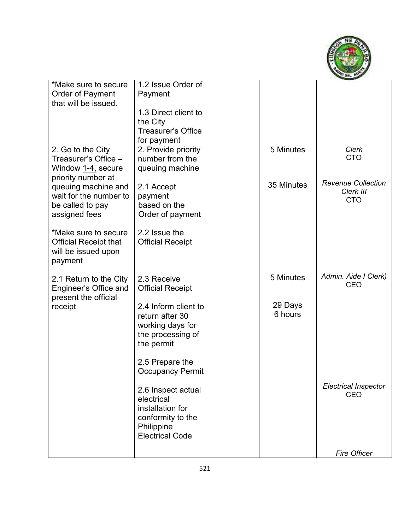

| *Make sure to secure         | 1.2 Issue Order of              |            |                             |
|------------------------------|---------------------------------|------------|-----------------------------|
| <b>Order of Payment</b>      | Payment                         |            |                             |
| that will be issued.         |                                 |            |                             |
|                              | 1.3 Direct client to            |            |                             |
|                              | the City                        |            |                             |
|                              | <b>Treasurer's Office</b>       |            |                             |
|                              | for payment                     |            |                             |
| 2. Go to the City            | 2. Provide priority             | 5 Minutes  | Clerk                       |
| Treasurer's Office –         | number from the                 |            | <b>CTO</b>                  |
| Window <u>1-4,</u> secure    | queuing machine                 |            |                             |
| priority number at           |                                 |            |                             |
| queuing machine and          | 2.1 Accept                      | 35 Minutes | <b>Revenue Collection</b>   |
| wait for the number to       | payment                         |            | Clerk III                   |
| be called to pay             | based on the                    |            | <b>CTO</b>                  |
| assigned fees                | Order of payment                |            |                             |
|                              |                                 |            |                             |
| *Make sure to secure         | 2.2 Issue the                   |            |                             |
| <b>Official Receipt that</b> | <b>Official Receipt</b>         |            |                             |
| will be issued upon          |                                 |            |                             |
| payment                      |                                 |            |                             |
|                              |                                 |            |                             |
| 2.1 Return to the City       | 2.3 Receive                     | 5 Minutes  | Admin. Aide I Clerk)        |
| Engineer's Office and        | <b>Official Receipt</b>         |            | CEO                         |
| present the official         |                                 |            |                             |
| receipt                      | 2.4 Inform client to            | 29 Days    |                             |
|                              | return after 30                 | 6 hours    |                             |
|                              | working days for                |            |                             |
|                              |                                 |            |                             |
|                              | the processing of<br>the permit |            |                             |
|                              |                                 |            |                             |
|                              | 2.5 Prepare the                 |            |                             |
|                              | <b>Occupancy Permit</b>         |            |                             |
|                              |                                 |            |                             |
|                              | 2.6 Inspect actual              |            | <b>Electrical Inspector</b> |
|                              | electrical                      |            | CEO                         |
|                              | installation for                |            |                             |
|                              | conformity to the               |            |                             |
|                              | Philippine                      |            |                             |
|                              | <b>Electrical Code</b>          |            |                             |
|                              |                                 |            |                             |
|                              |                                 |            | <b>Fire Officer</b>         |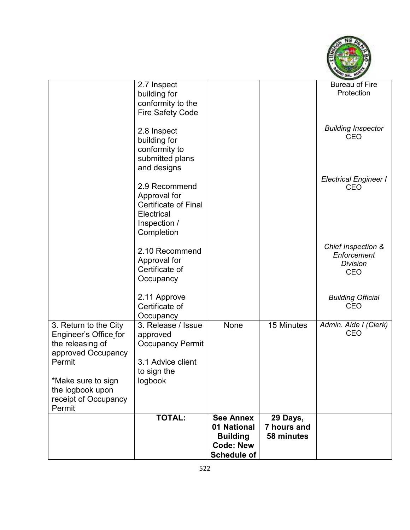

|                                                | 2.7 Inspect<br>building for<br>conformity to the             |                    |             | <b>Bureau of Fire</b><br>Protection                  |
|------------------------------------------------|--------------------------------------------------------------|--------------------|-------------|------------------------------------------------------|
|                                                | <b>Fire Safety Code</b>                                      |                    |             |                                                      |
|                                                | 2.8 Inspect<br>building for                                  |                    |             | <b>Building Inspector</b><br><b>CEO</b>              |
|                                                | conformity to<br>submitted plans<br>and designs              |                    |             |                                                      |
|                                                |                                                              |                    |             | <b>Electrical Engineer I</b>                         |
|                                                | 2.9 Recommend<br>Approval for<br><b>Certificate of Final</b> |                    |             | <b>CEO</b>                                           |
|                                                | Electrical<br>Inspection /<br>Completion                     |                    |             |                                                      |
|                                                | 2.10 Recommend<br>Approval for                               |                    |             | Chief Inspection &<br>Enforcement<br><b>Division</b> |
|                                                | Certificate of<br>Occupancy                                  |                    |             | <b>CEO</b>                                           |
|                                                | 2.11 Approve<br>Certificate of                               |                    |             | <b>Building Official</b><br><b>CEO</b>               |
|                                                | Occupancy                                                    |                    |             |                                                      |
| 3. Return to the City<br>Engineer's Office for | 3. Release / Issue<br>approved                               | None               | 15 Minutes  | Admin. Aide I (Clerk)<br><b>CEO</b>                  |
| the releasing of<br>approved Occupancy         | <b>Occupancy Permit</b>                                      |                    |             |                                                      |
| Permit                                         | 3.1 Advice client<br>to sign the                             |                    |             |                                                      |
| *Make sure to sign<br>the logbook upon         | logbook                                                      |                    |             |                                                      |
| receipt of Occupancy<br>Permit                 |                                                              |                    |             |                                                      |
|                                                | <b>TOTAL:</b>                                                | <b>See Annex</b>   | 29 Days,    |                                                      |
|                                                |                                                              | 01 National        | 7 hours and |                                                      |
|                                                |                                                              | <b>Building</b>    | 58 minutes  |                                                      |
|                                                |                                                              | <b>Code: New</b>   |             |                                                      |
|                                                |                                                              | <b>Schedule of</b> |             |                                                      |